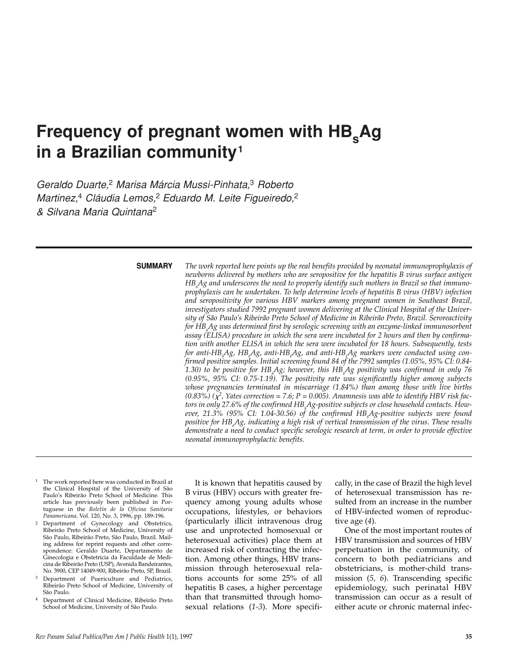# **Frequency of pregnant women with HB. Ag in a Brazilian community<sup>1</sup>**

*Geraldo Duarte,*<sup>2</sup> *Marisa Márcia Mussi-Pinhata,*<sup>3</sup> *Roberto Martinez,*<sup>4</sup> *Cláudia Lemos,*<sup>2</sup> *Eduardo M. Leite Figueiredo,*<sup>2</sup> *& Silvana Maria Quintana*<sup>2</sup>

#### **SUMMARY**

*The work reported here points up the real benefits provided by neonatal immunoprophylaxis of newborns delivered by mothers who are seropositive for the hepatitis B virus surface antigen HBs Ag and underscores the need to properly identify such mothers in Brazil so that immunoprophylaxis can be undertaken. To help determine levels of hepatitis B virus (HBV) infection and seropositivity for various HBV markers among pregnant women in Southeast Brazil, investigators studied 7992 pregnant women delivering at the Clinical Hospital of the University of São Paulo's Ribeirão Preto School of Medicine in Ribeirão Preto, Brazil. Seroreactivity for HBs Ag was determined first by serologic screening with an enzyme-linked immunosorbent assay (ELISA) procedure in which the sera were incubated for 2 hours and then by confirmation with another ELISA in which the sera were incubated for 18 hours. Subsequently, tests for anti-HBs Ag, HBe Ag, anti-HBe Ag, and anti-HBc Ag markers were conducted using confirmed positive samples. Initial screening found 84 of the 7992 samples (1.05%, 95% CI: 0.84- 1.30) to be positive for HBs Ag; however, this HBs Ag positivity was confirmed in only 76 (0.95%, 95% CI: 0.75-1.19). The positivity rate was significantly higher among subjects whose pregnancies terminated in miscarriage (1.84%) than among those with live births* (0.83%) ( $\chi^2$ , Yates correction = 7.6; P = 0.005). Anamnesis was able to identify HBV risk fac*tors in only 27.6% of the confirmed HBs Ag-positive subjects or close household contacts. How*ever, 21.3% (95% CI: 1.04-30.56) of the confirmed HB<sub>s</sub>Ag-positive subjects were found *positive for HBe Ag, indicating a high risk of vertical transmission of the virus. These results demonstrate a need to conduct specific serologic research at term, in order to provide effective neonatal immunoprophylactic benefits.*

- The work reported here was conducted in Brazil at the Clinical Hospital of the University of São Paulo's Ribeirão Preto School of Medicine. This article has previously been published in Portuguese in the *Boletín de la Oficina Sanitaria Panamericana,* Vol. 120, No. 3, 1996, pp. 189-196.
- Department of Gynecology and Obstetrics, Ribeirão Preto School of Medicine, University of São Paulo, Ribeirão Preto, São Paulo, Brazil. Mailing address for reprint requests and other correspondence: Geraldo Duarte, Departamento de Ginecologia e Obstetricia da Faculdade de Medicina de Ribeirão Preto (USP), Avenida Bandeirantes, No. 3900, CEP 14049-900, Ribeirão Preto, SP, Brazil.
- Department of Puericulture and Pediatrics, Ribeirão Preto School of Medicine, University of São Paulo.
- <sup>4</sup> Department of Clinical Medicine, Ribeirão Preto School of Medicine, University of São Paulo.

It is known that hepatitis caused by B virus (HBV) occurs with greater frequency among young adults whose occupations, lifestyles, or behaviors (particularly illicit intravenous drug use and unprotected homosexual or heterosexual activities) place them at increased risk of contracting the infection. Among other things, HBV transmission through heterosexual relations accounts for some 25% of all hepatitis B cases, a higher percentage than that transmitted through homosexual relations (*1-3*). More specifically, in the case of Brazil the high level of heterosexual transmission has resulted from an increase in the number of HBV-infected women of reproductive age (*4*).

One of the most important routes of HBV transmission and sources of HBV perpetuation in the community, of concern to both pediatricians and obstetricians, is mother-child transmission (*5, 6*). Transcending specific epidemiology, such perinatal HBV transmission can occur as a result of either acute or chronic maternal infec-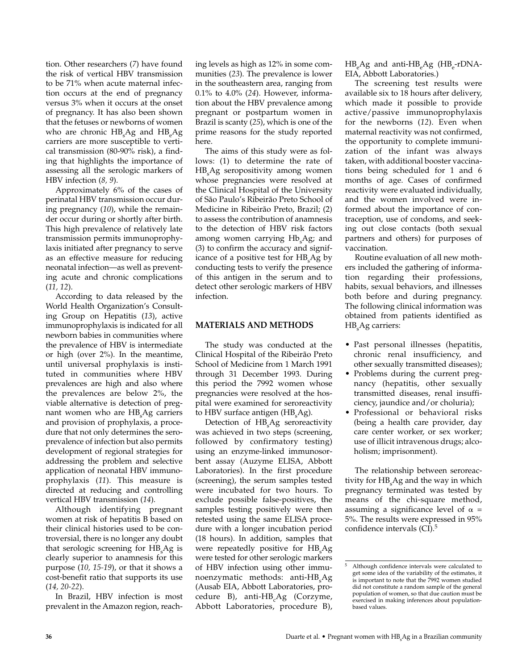tion. Other researchers (*7*) have found the risk of vertical HBV transmission to be 71% when acute maternal infection occurs at the end of pregnancy versus 3% when it occurs at the onset of pregnancy. It has also been shown that the fetuses or newborns of women who are chronic  $\rm HB_sAg$  and  $\rm HB_eAg$ carriers are more susceptible to vertical transmission (80-90% risk), a finding that highlights the importance of assessing all the serologic markers of HBV infection (*8, 9*).

Approximately 6% of the cases of perinatal HBV transmission occur during pregnancy (*10*), while the remainder occur during or shortly after birth. This high prevalence of relatively late transmission permits immunoprophylaxis initiated after pregnancy to serve as an effective measure for reducing neonatal infection—as well as preventing acute and chronic complications (*11, 12*).

According to data released by the World Health Organization's Consulting Group on Hepatitis (*13*), active immunoprophylaxis is indicated for all newborn babies in communities where the prevalence of HBV is intermediate or high (over 2%). In the meantime, until universal prophylaxis is instituted in communities where HBV prevalences are high and also where the prevalences are below 2%, the viable alternative is detection of pregnant women who are  $\text{HB}_{\text{s}}\text{Ag}$  carriers and provision of prophylaxis, a procedure that not only determines the seroprevalence of infection but also permits development of regional strategies for addressing the problem and selective application of neonatal HBV immunoprophylaxis (*11*). This measure is directed at reducing and controlling vertical HBV transmission (*14*).

Although identifying pregnant women at risk of hepatitis B based on their clinical histories used to be controversial, there is no longer any doubt that serologic screening for  $\text{HB}_{\text{s}}\text{Ag}$  is clearly superior to anamnesis for this purpose (*10, 15-19*), or that it shows a cost-benefit ratio that supports its use (*14, 20-22*).

In Brazil, HBV infection is most prevalent in the Amazon region, reaching levels as high as 12% in some communities (*23*). The prevalence is lower in the southeastern area, ranging from 0.1% to 4.0% (*24*). However, information about the HBV prevalence among pregnant or postpartum women in Brazil is scanty (*25*), which is one of the prime reasons for the study reported here.

The aims of this study were as follows: (1) to determine the rate of HBs Ag seropositivity among women whose pregnancies were resolved at the Clinical Hospital of the University of São Paulo's Ribeirão Preto School of Medicine in Ribeirão Preto, Brazil; (2) to assess the contribution of anamnesis to the detection of HBV risk factors among women carrying  $Hb<sub>s</sub>Ag$ ; and (3) to confirm the accuracy and significance of a positive test for  $HB_{s}Ag$  by conducting tests to verify the presence of this antigen in the serum and to detect other serologic markers of HBV infection.

## **MATERIALS AND METHODS**

The study was conducted at the Clinical Hospital of the Ribeirão Preto School of Medicine from 1 March 1991 through 31 December 1993. During this period the 7992 women whose pregnancies were resolved at the hospital were examined for seroreactivity to HBV surface antigen ( $\rm HB_sAg$ ).

Detection of HB<sub>s</sub>Ag seroreactivity was achieved in two steps (screening, followed by confirmatory testing) using an enzyme-linked immunosorbent assay (Auzyme ELISA, Abbott Laboratories). In the first procedure (screening), the serum samples tested were incubated for two hours. To exclude possible false-positives, the samples testing positively were then retested using the same ELISA procedure with a longer incubation period (18 hours). In addition, samples that were repeatedly positive for  $HB_{\rm s}$ Ag were tested for other serologic markers of HBV infection using other immunoenzymatic methods: anti-HB<sub>s</sub>Ag (Ausab EIA, Abbott Laboratories, procedure B), anti-HB<sub>c</sub>Ag (Corzyme, Abbott Laboratories, procedure B),

 $HB<sub>e</sub>Ag$  and anti- $HB<sub>e</sub>Ag$  (HB<sub>e-rDNA</sub>-EIA, Abbott Laboratories.)

The screening test results were available six to 18 hours after delivery, which made it possible to provide active/passive immunoprophylaxis for the newborns (*12*). Even when maternal reactivity was not confirmed, the opportunity to complete immunization of the infant was always taken, with additional booster vaccinations being scheduled for 1 and 6 months of age. Cases of confirmed reactivity were evaluated individually, and the women involved were informed about the importance of contraception, use of condoms, and seeking out close contacts (both sexual partners and others) for purposes of vaccination.

Routine evaluation of all new mothers included the gathering of information regarding their professions, habits, sexual behaviors, and illnesses both before and during pregnancy. The following clinical information was obtained from patients identified as HB<sub>s</sub>Ag carriers:

- Past personal illnesses (hepatitis, chronic renal insufficiency, and other sexually transmitted diseases);
- Problems during the current pregnancy (hepatitis, other sexually transmitted diseases, renal insufficiency, jaundice and/or choluria);
- Professional or behavioral risks (being a health care provider, day care center worker, or sex worker; use of illicit intravenous drugs; alcoholism; imprisonment).

The relationship between seroreactivity for  ${\rm HB_{\rm s}}{\rm Ag}$  and the way in which pregnancy terminated was tested by means of the chi-square method, assuming a significance level of  $\alpha$  = 5%. The results were expressed in 95% confidence intervals (CI).<sup>5</sup>

<sup>5</sup> Although confidence intervals were calculated to get some idea of the variability of the estimates, it is important to note that the 7992 women studied did not constitute a random sample of the general population of women, so that due caution must be exercised in making inferences about populationbased values.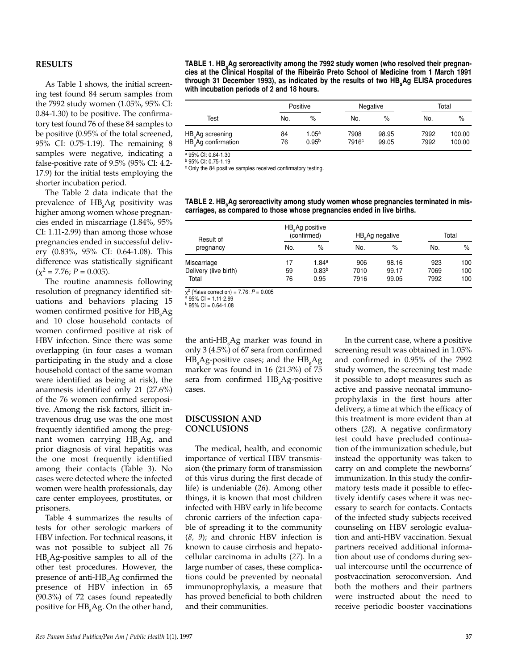### **RESULTS**

As Table 1 shows, the initial screening test found 84 serum samples from the 7992 study women (1.05%, 95% CI: 0.84-1.30) to be positive. The confirmatory test found 76 of these 84 samples to be positive (0.95% of the total screened, 95% CI: 0.75-1.19). The remaining 8 samples were negative, indicating a false-positive rate of 9.5% (95% CI: 4.2- 17.9) for the initial tests employing the shorter incubation period.

The Table 2 data indicate that the prevalence of  $HB_{\rm s}$ Ag positivity was higher among women whose pregnancies ended in miscarriage (1.84%, 95% CI: 1.11-2.99) than among those whose pregnancies ended in successful delivery (0.83%, 95% CI: 0.64-1.08). This difference was statistically significant  $(\chi^2 = 7.76; P = 0.005).$ 

The routine anamnesis following resolution of pregnancy identified situations and behaviors placing 15 women confirmed positive for  $\text{HB}_\text{s} \text{Ag}$ and 10 close household contacts of women confirmed positive at risk of HBV infection. Since there was some overlapping (in four cases a woman participating in the study and a close household contact of the same woman were identified as being at risk), the anamnesis identified only 21 (27.6%) of the 76 women confirmed seropositive. Among the risk factors, illicit intravenous drug use was the one most frequently identified among the pregnant women carrying  $HB_{\rm s}A$ g, and prior diagnosis of viral hepatitis was the one most frequently identified among their contacts (Table 3). No cases were detected where the infected women were health professionals, day care center employees, prostitutes, or prisoners.

Table 4 summarizes the results of tests for other serologic markers of HBV infection. For technical reasons, it was not possible to subject all 76  $\rm HB_s\Delta g$ -positive samples to all of the other test procedures. However, the presence of anti-HB<sub>c</sub>Ag confirmed the presence of HBV infection in 65 (90.3%) of 72 cases found repeatedly positive for  $\rm HB_s\rm Ag.$  On the other hand,

TABLE 1. HB<sub>s</sub>Ag seroreactivity among the 7992 study women (who resolved their pregnan**cies at the Clinical Hospital of the Ribeirão Preto School of Medicine from 1 March 1991** through 31 December 1993), as indicated by the results of two HB<sub>a</sub>Ag ELISA procedures **with incubation periods of 2 and 18 hours.**

|                                                                 | Positive |                   | Negative          |       | Total |        |  |
|-----------------------------------------------------------------|----------|-------------------|-------------------|-------|-------|--------|--|
| Test                                                            | No.      | %                 | No.               | %     | No.   | %      |  |
| HB <sub>s</sub> Ag screening<br>HB <sub>s</sub> Ag confirmation | 84       | 1.05ª             | 7908              | 98.95 | 7992  | 100.00 |  |
|                                                                 | 76       | 0.95 <sup>b</sup> | 7916 <sup>c</sup> | 99.05 | 7992  | 100.00 |  |

<sup>a</sup> 95% CI: 0.84-1.30

<sup>b</sup> 95% CI: 0.75-1.19

<sup>c</sup> Only the 84 positive samples received confirmatory testing.

TABLE 2. HB Ag seroreactivity among study women whose pregnancies terminated in mis**carriages, as compared to those whose pregnancies ended in live births.** 

| Result of                      | $HB_{s}$ Ag positive<br>(confirmed) |                           |              | HB Ag negative | Total        |            |
|--------------------------------|-------------------------------------|---------------------------|--------------|----------------|--------------|------------|
| pregnancy                      | No.                                 | $\%$                      | No.          | $\%$           | No.          | $\%$       |
| Miscarriage                    | 17                                  | 1.84ª                     | 906          | 98.16          | 923          | 100        |
| Delivery (live birth)<br>Total | 59<br>76                            | 0.83 <sup>b</sup><br>0.95 | 7010<br>7916 | 99.17<br>99.05 | 7069<br>7992 | 100<br>100 |

 $\chi^2$  (Yates correction) = 7.76;  $P = 0.005$ <br><sup>a</sup> 95% CI = 1.11-2.99

 $b$  95% CI = 0.64-1.08

the anti-HB<sub>s</sub>Ag marker was found in only 3 (4.5%) of 67 sera from confirmed  ${\rm HB_{\rm s}}{\rm Ag}$ -positive cases; and the  ${\rm HB_{\rm e}}{\rm Ag}$ marker was found in 16 (21.3%) of 75 sera from confirmed  $\mathrm{HB}_\mathrm{s} \mathrm{Ag}$ -positive cases.

### **DISCUSSION AND CONCLUSIONS**

The medical, health, and economic importance of vertical HBV transmission (the primary form of transmission of this virus during the first decade of life) is undeniable (*26*). Among other things, it is known that most children infected with HBV early in life become chronic carriers of the infection capable of spreading it to the community (*8, 9*); and chronic HBV infection is known to cause cirrhosis and hepatocellular carcinoma in adults (*27*). In a large number of cases, these complications could be prevented by neonatal immunoprophylaxis, a measure that has proved beneficial to both children and their communities.

In the current case, where a positive screening result was obtained in 1.05% and confirmed in 0.95% of the 7992 study women, the screening test made it possible to adopt measures such as active and passive neonatal immunoprophylaxis in the first hours after delivery, a time at which the efficacy of this treatment is more evident than at others (*28*). A negative confirmatory test could have precluded continuation of the immunization schedule, but instead the opportunity was taken to carry on and complete the newborns' immunization. In this study the confirmatory tests made it possible to effectively identify cases where it was necessary to search for contacts. Contacts of the infected study subjects received counseling on HBV serologic evaluation and anti-HBV vaccination. Sexual partners received additional information about use of condoms during sexual intercourse until the occurrence of postvaccination seroconversion. And both the mothers and their partners were instructed about the need to receive periodic booster vaccinations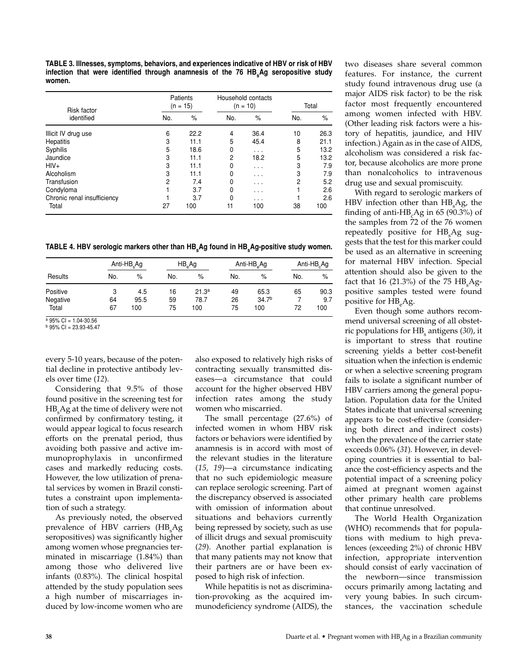**TABLE 3. Illnesses, symptoms, behaviors, and experiences indicative of HBV or risk of HBV** infection that were identified through anamnesis of the 76 HB<sub>s</sub>Ag seropositive study **women.**

| <b>Risk factor</b>          | Patients<br>$(n = 15)$ |      | Household contacts<br>$(n = 10)$ |                         | Total |      |
|-----------------------------|------------------------|------|----------------------------------|-------------------------|-------|------|
| identified                  | No.                    | $\%$ | No.                              | $\%$                    | No.   | %    |
| Illicit IV drug use         | 6                      | 22.2 | 4                                | 36.4                    | 10    | 26.3 |
| Hepatitis                   | 3                      | 11.1 | 5                                | 45.4                    | 8     | 21.1 |
| Syphilis                    | 5                      | 18.6 | 0                                | .                       | 5     | 13.2 |
| Jaundice                    | 3                      | 11.1 | $\overline{c}$                   | 18.2                    | 5     | 13.2 |
| $HIV+$                      | 3                      | 11.1 | 0                                | $\cdot$ $\cdot$ $\cdot$ | 3     | 7.9  |
| Alcoholism                  | 3                      | 11.1 | 0                                | $\cdot$ $\cdot$ $\cdot$ | 3     | 7.9  |
| Transfusion                 | $\overline{c}$         | 7.4  | 0                                | .                       | 2     | 5.2  |
| Condyloma                   |                        | 3.7  | 0                                | $\cdot$ $\cdot$ $\cdot$ |       | 2.6  |
| Chronic renal insufficiency |                        | 3.7  | 0                                | .                       |       | 2.6  |
| Total                       | 27                     | 100  | 11                               | 100                     | 38    | 100  |

TABLE 4. HBV serologic markers other than HB<sub>s</sub>Ag found in HB<sub>s</sub>Ag-positive study women.

|          |     | Anti- $HB_{s}$ Ag |     | $HB_{\alpha}Ag$   |     | Anti-HB <sub>e</sub> Ag |     | Anti- $HB_c$ Ag |  |
|----------|-----|-------------------|-----|-------------------|-----|-------------------------|-----|-----------------|--|
| Results  | No. | $\%$              | No. | %                 | No. | $\%$                    | No. | $\%$            |  |
| Positive | 3   | 4.5               | 16  | 21.3 <sup>a</sup> | 49  | 65.3                    | 65  | 90.3            |  |
| Negative | 64  | 95.5              | 59  | 78.7              | 26  | 34.7 <sup>b</sup>       |     | 9.7             |  |
| Total    | 67  | 100               | 75  | 100               | 75  | 100                     | 72  | 100             |  |

 $a$  95% CI = 1.04-30.56

 $b$  95% CI = 23.93-45.47

every 5-10 years, because of the potential decline in protective antibody levels over time (*12*).

Considering that 9.5% of those found positive in the screening test for  $HB_{\rm s}$ Ag at the time of delivery were not confirmed by confirmatory testing, it would appear logical to focus research efforts on the prenatal period, thus avoiding both passive and active immunoprophylaxis in unconfirmed cases and markedly reducing costs. However, the low utilization of prenatal services by women in Brazil constitutes a constraint upon implementation of such a strategy.

As previously noted, the observed prevalence of HBV carriers (HB<sub>s</sub>Ag seropositives) was significantly higher among women whose pregnancies terminated in miscarriage (1.84%) than among those who delivered live infants (0.83%). The clinical hospital attended by the study population sees a high number of miscarriages induced by low-income women who are

also exposed to relatively high risks of contracting sexually transmitted diseases—a circumstance that could account for the higher observed HBV infection rates among the study women who miscarried.

The small percentage (27.6%) of infected women in whom HBV risk factors or behaviors were identified by anamnesis is in accord with most of the relevant studies in the literature (*15, 19*)—a circumstance indicating that no such epidemiologic measure can replace serologic screening. Part of the discrepancy observed is associated with omission of information about situations and behaviors currently being repressed by society, such as use of illicit drugs and sexual promiscuity (*29*). Another partial explanation is that many patients may not know that their partners are or have been exposed to high risk of infection.

While hepatitis is not as discrimination-provoking as the acquired immunodeficiency syndrome (AIDS), the two diseases share several common features. For instance, the current study found intravenous drug use (a major AIDS risk factor) to be the risk factor most frequently encountered among women infected with HBV. (Other leading risk factors were a history of hepatitis, jaundice, and HIV infection.) Again as in the case of AIDS, alcoholism was considered a risk factor, because alcoholics are more prone than nonalcoholics to intravenous drug use and sexual promiscuity.

With regard to serologic markers of  ${\rm HBV}$  infection other than  ${\rm HB_sAg}$ , the finding of anti- $HB_{c}$ Ag in 65 (90.3%) of the samples from 72 of the 76 women repeatedly positive for HB<sub>s</sub>Ag suggests that the test for this marker could be used as an alternative in screening for maternal HBV infection. Special attention should also be given to the fact that 16 (21.3%) of the 75  $\rm HB_sAg$ positive samples tested were found positive for HB<sub>a</sub>Ag.

Even though some authors recommend universal screening of all obstetric populations for HB<sub>s</sub> antigens (30), it is important to stress that routine screening yields a better cost-benefit situation when the infection is endemic or when a selective screening program fails to isolate a significant number of HBV carriers among the general population. Population data for the United States indicate that universal screening appears to be cost-effective (considering both direct and indirect costs) when the prevalence of the carrier state exceeds 0.06% (*31*). However, in developing countries it is essential to balance the cost-efficiency aspects and the potential impact of a screening policy aimed at pregnant women against other primary health care problems that continue unresolved.

The World Health Organization (WHO) recommends that for populations with medium to high prevalences (exceeding 2%) of chronic HBV infection, appropriate intervention should consist of early vaccination of the newborn—since transmission occurs primarily among lactating and very young babies. In such circumstances, the vaccination schedule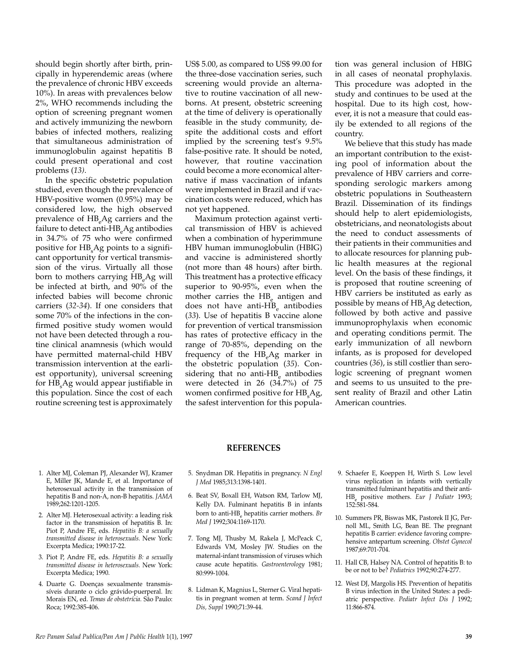should begin shortly after birth, principally in hyperendemic areas (where the prevalence of chronic HBV exceeds 10%). In areas with prevalences below 2%, WHO recommends including the option of screening pregnant women and actively immunizing the newborn babies of infected mothers, realizing that simultaneous administration of immunoglobulin against hepatitis B could present operational and cost problems (*13)*.

In the specific obstetric population studied, even though the prevalence of HBV-positive women (0.95%) may be considered low, the high observed prevalence of HB<sub>e</sub>Ag carriers and the failure to detect anti-HB<sub>a</sub>Ag antibodies in 34.7% of 75 who were confirmed positive for  $\text{HB}_{\text{s}}\text{Ag}$  points to a significant opportunity for vertical transmission of the virus. Virtually all those born to mothers carrying  $HB_aAg$  will be infected at birth, and 90% of the infected babies will become chronic carriers (*32-34*). If one considers that some 70% of the infections in the confirmed positive study women would not have been detected through a routine clinical anamnesis (which would have permitted maternal-child HBV transmission intervention at the earliest opportunity), universal screening for  $\text{HB}_{\text{s}}\text{Ag}$  would appear justifiable in this population. Since the cost of each routine screening test is approximately

US\$ 5.00, as compared to US\$ 99.00 for the three-dose vaccination series, such screening would provide an alternative to routine vaccination of all newborns. At present, obstetric screening at the time of delivery is operationally feasible in the study community, despite the additional costs and effort implied by the screening test's 9.5% false-positive rate. It should be noted, however, that routine vaccination could become a more economical alternative if mass vaccination of infants were implemented in Brazil and if vaccination costs were reduced, which has not yet happened.

Maximum protection against vertical transmission of HBV is achieved when a combination of hyperimmune HBV human immunoglobulin (HBIG) and vaccine is administered shortly (not more than 48 hours) after birth. This treatment has a protective efficacy superior to 90-95%, even when the mother carries the HB<sub>a</sub> antigen and does not have anti-HB<sub>c</sub> antibodies (*33*). Use of hepatitis B vaccine alone for prevention of vertical transmission has rates of protective efficacy in the range of 70-85%, depending on the frequency of the  $HB<sub>a</sub>Ag$  marker in the obstetric population (*35*). Considering that no anti-HB<sub>e</sub> antibodies were detected in 26 (34.7%) of 75 women confirmed positive for  $HB_sAg$ , the safest intervention for this population was general inclusion of HBIG in all cases of neonatal prophylaxis. This procedure was adopted in the study and continues to be used at the hospital. Due to its high cost, however, it is not a measure that could easily be extended to all regions of the country.

We believe that this study has made an important contribution to the existing pool of information about the prevalence of HBV carriers and corresponding serologic markers among obstetric populations in Southeastern Brazil. Dissemination of its findings should help to alert epidemiologists, obstetricians, and neonatologists about the need to conduct assessments of their patients in their communities and to allocate resources for planning public health measures at the regional level. On the basis of these findings, it is proposed that routine screening of HBV carriers be instituted as early as possible by means of  $\rm HB_{\rm _s}$ Ag detection, followed by both active and passive immunoprophylaxis when economic and operating conditions permit. The early immunization of all newborn infants, as is proposed for developed countries (*36*), is still costlier than serologic screening of pregnant women and seems to us unsuited to the present reality of Brazil and other Latin American countries.

#### **REFERENCES**

- 1. Alter MJ, Coleman PJ, Alexander WJ, Kramer E, Miller JK, Mande E, et al. Importance of heterosexual activity in the transmission of hepatitis B and non-A, non-B hepatitis. *JAMA* 1989;262:1201-1205.
- 2. Alter MJ. Heterosexual activity: a leading risk factor in the transmission of hepatitis B. In: Piot P, Andre FE, eds. *Hepatitis B: a sexually transmitted disease in heterosexuals.* New York: Excerpta Medica; 1990:17-22.
- 3. Piot P, Andre FE, eds. *Hepatitis B: a sexually transmitted disease in heterosexuals.* New York: Excerpta Medica; 1990.
- 4. Duarte G. Doenças sexualmente transmissíveis durante o ciclo grávido-puerperal. In: Morais EN, ed. *Temas de obstetrícia.* São Paulo: Roca; 1992:385-406.
- 5. Snydman DR. Hepatitis in pregnancy. *N Engl J Med* 1985;313:1398-1401.
- 6. Beat SV, Boxall EH, Watson RM, Tarlow MJ, Kelly DA. Fulminant hepatitis B in infants born to anti-HB<sub>c</sub> hepatitis carrier mothers. *Br Med J* 1992;304:1169-1170.
- 7. Tong MJ, Thusby M, Rakela J, McPeack C, Edwards VM, Mosley JW. Studies on the maternal-infant transmission of viruses which cause acute hepatitis. *Gastroenterology* 1981; 80:999-1004.
- 8. Lidman K, Magnius L, Sterner G. Viral hepatitis in pregnant women at term. *Scand J Infect Dis, Suppl* 1990;71:39-44.
- 9. Schaefer E, Koeppen H, Wirth S. Low level virus replication in infants with vertically transmitted fulminant hepatitis and their anti-HBe positive mothers. *Eur J Pediatr* 1993; 152:581-584.
- 10. Summers PR, Biswas MK, Pastorek II JG, Pernoll ML, Smith LG, Bean BE. The pregnant hepatitis B carrier: evidence favoring comprehensive antepartum screening. *Obstet Gynecol* 1987;69:701-704.
- 11. Hall CB, Halsey NA. Control of hepatitis B: to be or not to be? *Pediatrics* 1992;90:274-277.
- 12. West DJ, Margolis HS. Prevention of hepatitis B virus infection in the United States: a pediatric perspective. *Pediatr Infect Dis J* 1992; 11:866-874.